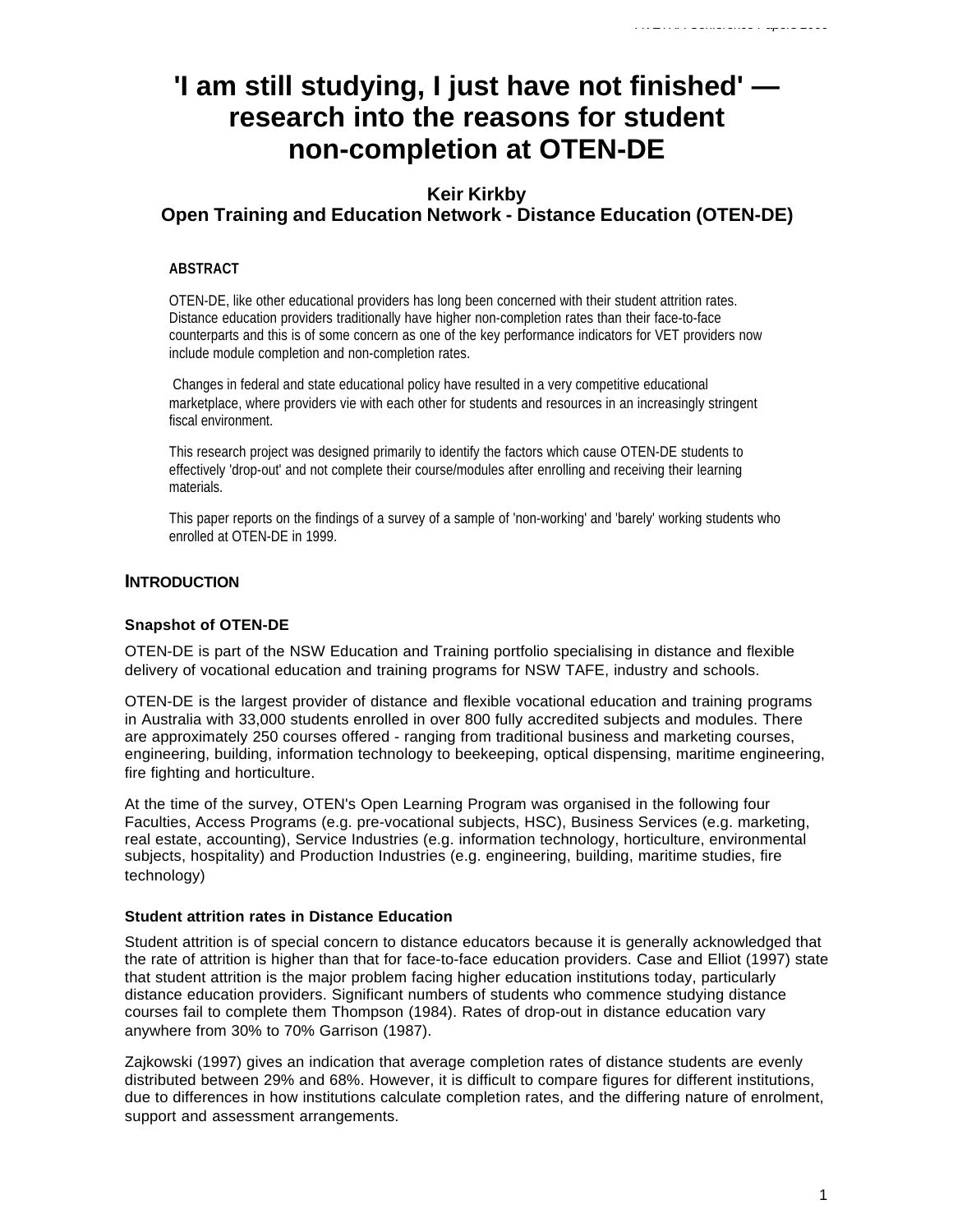# **'I am still studying, I just have not finished' research into the reasons for student non-completion at OTEN-DE**

# **Keir Kirkby Open Training and Education Network - Distance Education (OTEN-DE)**

### **ABSTRACT**

OTEN-DE, like other educational providers has long been concerned with their student attrition rates. Distance education providers traditionally have higher non-completion rates than their face-to-face counterparts and this is of some concern as one of the key performance indicators for VET providers now include module completion and non-completion rates.

 Changes in federal and state educational policy have resulted in a very competitive educational marketplace, where providers vie with each other for students and resources in an increasingly stringent fiscal environment.

This research project was designed primarily to identify the factors which cause OTEN-DE students to effectively 'drop-out' and not complete their course/modules after enrolling and receiving their learning materials.

This paper reports on the findings of a survey of a sample of 'non-working' and 'barely' working students who enrolled at OTEN-DE in 1999.

# **INTRODUCTION**

#### **Snapshot of OTEN-DE**

OTEN-DE is part of the NSW Education and Training portfolio specialising in distance and flexible delivery of vocational education and training programs for NSW TAFE, industry and schools.

OTEN-DE is the largest provider of distance and flexible vocational education and training programs in Australia with 33,000 students enrolled in over 800 fully accredited subjects and modules. There are approximately 250 courses offered - ranging from traditional business and marketing courses, engineering, building, information technology to beekeeping, optical dispensing, maritime engineering, fire fighting and horticulture.

At the time of the survey, OTEN's Open Learning Program was organised in the following four Faculties, Access Programs (e.g. pre-vocational subjects, HSC), Business Services (e.g. marketing, real estate, accounting), Service Industries (e.g. information technology, horticulture, environmental subjects, hospitality) and Production Industries (e.g. engineering, building, maritime studies, fire technology)

#### **Student attrition rates in Distance Education**

Student attrition is of special concern to distance educators because it is generally acknowledged that the rate of attrition is higher than that for face-to-face education providers. Case and Elliot (1997) state that student attrition is the major problem facing higher education institutions today, particularly distance education providers. Significant numbers of students who commence studying distance courses fail to complete them Thompson (1984). Rates of drop-out in distance education vary anywhere from 30% to 70% Garrison (1987).

Zajkowski (1997) gives an indication that average completion rates of distance students are evenly distributed between 29% and 68%. However, it is difficult to compare figures for different institutions, due to differences in how institutions calculate completion rates, and the differing nature of enrolment, support and assessment arrangements.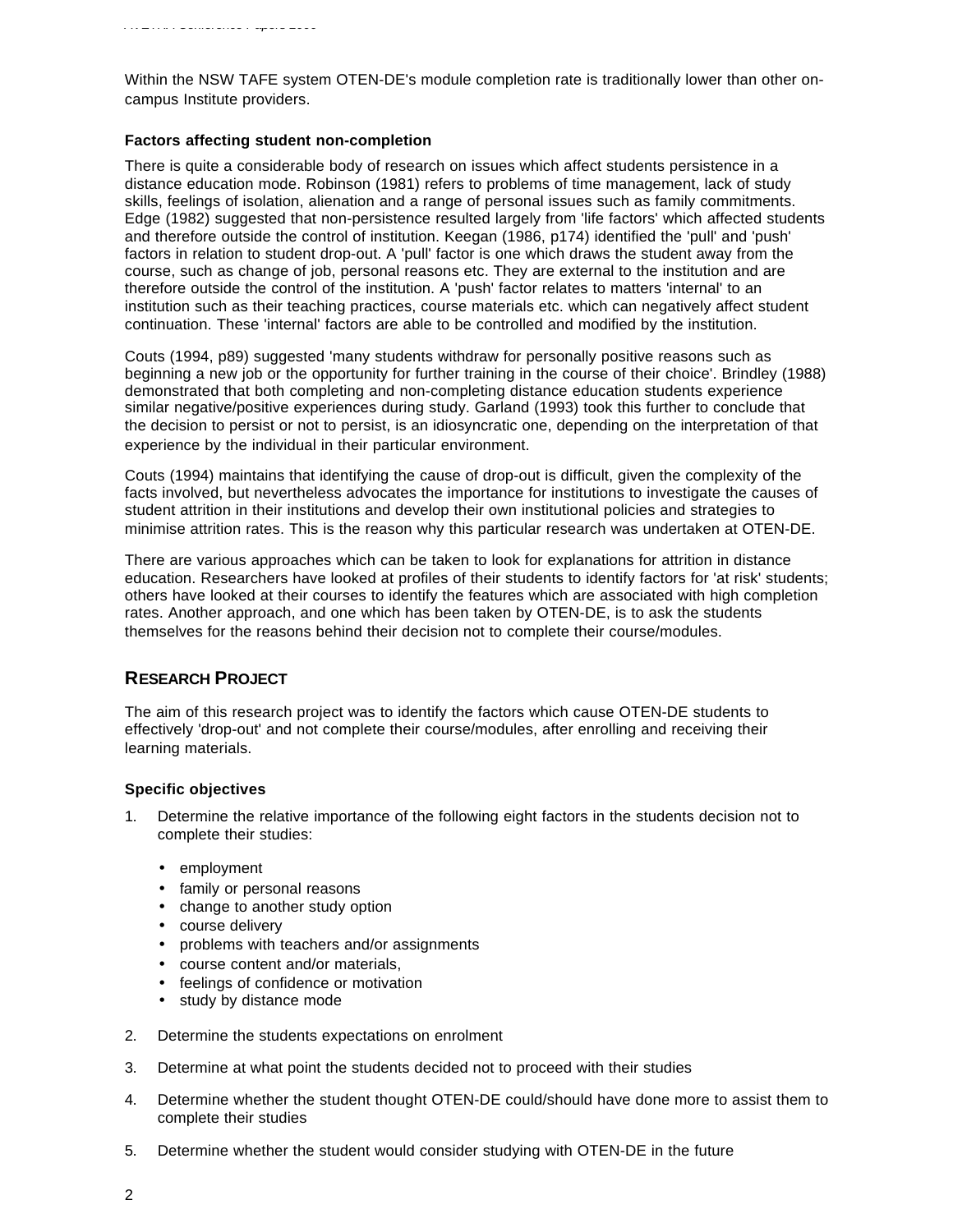Within the NSW TAFE system OTEN-DE's module completion rate is traditionally lower than other oncampus Institute providers.

#### **Factors affecting student non-completion**

There is quite a considerable body of research on issues which affect students persistence in a distance education mode. Robinson (1981) refers to problems of time management, lack of study skills, feelings of isolation, alienation and a range of personal issues such as family commitments. Edge (1982) suggested that non-persistence resulted largely from 'life factors' which affected students and therefore outside the control of institution. Keegan (1986, p174) identified the 'pull' and 'push' factors in relation to student drop-out. A 'pull' factor is one which draws the student away from the course, such as change of job, personal reasons etc. They are external to the institution and are therefore outside the control of the institution. A 'push' factor relates to matters 'internal' to an institution such as their teaching practices, course materials etc. which can negatively affect student continuation. These 'internal' factors are able to be controlled and modified by the institution.

Couts (1994, p89) suggested 'many students withdraw for personally positive reasons such as beginning a new job or the opportunity for further training in the course of their choice'. Brindley (1988) demonstrated that both completing and non-completing distance education students experience similar negative/positive experiences during study. Garland (1993) took this further to conclude that the decision to persist or not to persist, is an idiosyncratic one, depending on the interpretation of that experience by the individual in their particular environment.

Couts (1994) maintains that identifying the cause of drop-out is difficult, given the complexity of the facts involved, but nevertheless advocates the importance for institutions to investigate the causes of student attrition in their institutions and develop their own institutional policies and strategies to minimise attrition rates. This is the reason why this particular research was undertaken at OTEN-DE.

There are various approaches which can be taken to look for explanations for attrition in distance education. Researchers have looked at profiles of their students to identify factors for 'at risk' students; others have looked at their courses to identify the features which are associated with high completion rates. Another approach, and one which has been taken by OTEN-DE, is to ask the students themselves for the reasons behind their decision not to complete their course/modules.

# **RESEARCH PROJECT**

The aim of this research project was to identify the factors which cause OTEN-DE students to effectively 'drop-out' and not complete their course/modules, after enrolling and receiving their learning materials.

#### **Specific objectives**

- 1. Determine the relative importance of the following eight factors in the students decision not to complete their studies:
	- employment
	- family or personal reasons
	- change to another study option
	- course delivery
	- problems with teachers and/or assignments
	- course content and/or materials,
	- feelings of confidence or motivation
	- study by distance mode
- 2. Determine the students expectations on enrolment
- 3. Determine at what point the students decided not to proceed with their studies
- 4. Determine whether the student thought OTEN-DE could/should have done more to assist them to complete their studies
- 5. Determine whether the student would consider studying with OTEN-DE in the future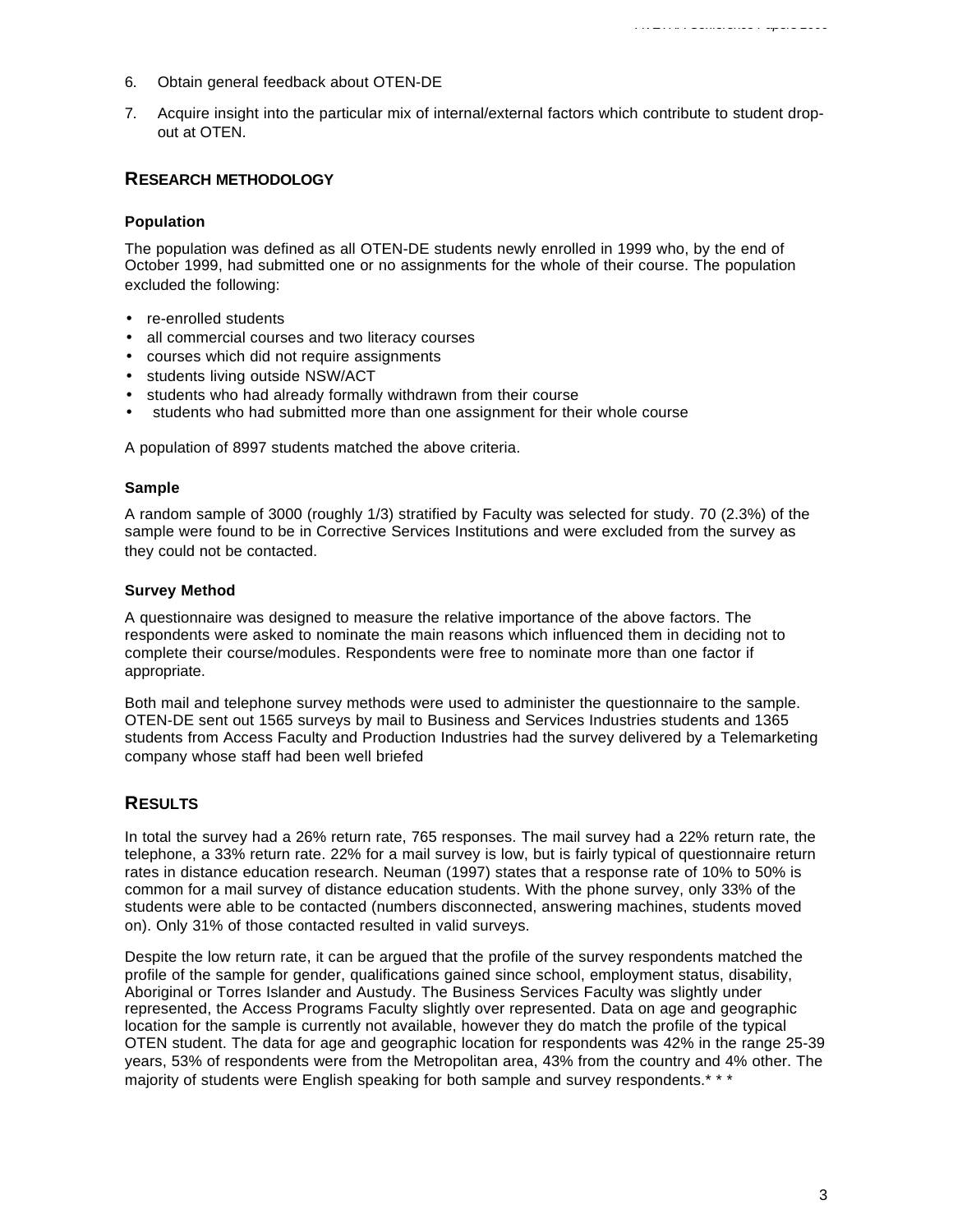- 6. Obtain general feedback about OTEN-DE
- 7. Acquire insight into the particular mix of internal/external factors which contribute to student dropout at OTEN.

## **RESEARCH METHODOLOGY**

#### **Population**

The population was defined as all OTEN-DE students newly enrolled in 1999 who, by the end of October 1999, had submitted one or no assignments for the whole of their course. The population excluded the following:

- re-enrolled students
- all commercial courses and two literacy courses
- courses which did not require assignments
- students living outside NSW/ACT
- students who had already formally withdrawn from their course
- students who had submitted more than one assignment for their whole course

A population of 8997 students matched the above criteria.

#### **Sample**

A random sample of 3000 (roughly 1/3) stratified by Faculty was selected for study. 70 (2.3%) of the sample were found to be in Corrective Services Institutions and were excluded from the survey as they could not be contacted.

#### **Survey Method**

A questionnaire was designed to measure the relative importance of the above factors. The respondents were asked to nominate the main reasons which influenced them in deciding not to complete their course/modules. Respondents were free to nominate more than one factor if appropriate.

Both mail and telephone survey methods were used to administer the questionnaire to the sample. OTEN-DE sent out 1565 surveys by mail to Business and Services Industries students and 1365 students from Access Faculty and Production Industries had the survey delivered by a Telemarketing company whose staff had been well briefed

# **RESULTS**

In total the survey had a 26% return rate, 765 responses. The mail survey had a 22% return rate, the telephone, a 33% return rate. 22% for a mail survey is low, but is fairly typical of questionnaire return rates in distance education research. Neuman (1997) states that a response rate of 10% to 50% is common for a mail survey of distance education students. With the phone survey, only 33% of the students were able to be contacted (numbers disconnected, answering machines, students moved on). Only 31% of those contacted resulted in valid surveys.

Despite the low return rate, it can be argued that the profile of the survey respondents matched the profile of the sample for gender, qualifications gained since school, employment status, disability, Aboriginal or Torres Islander and Austudy. The Business Services Faculty was slightly under represented, the Access Programs Faculty slightly over represented. Data on age and geographic location for the sample is currently not available, however they do match the profile of the typical OTEN student. The data for age and geographic location for respondents was 42% in the range 25-39 years, 53% of respondents were from the Metropolitan area, 43% from the country and 4% other. The majority of students were English speaking for both sample and survey respondents.\*\*\*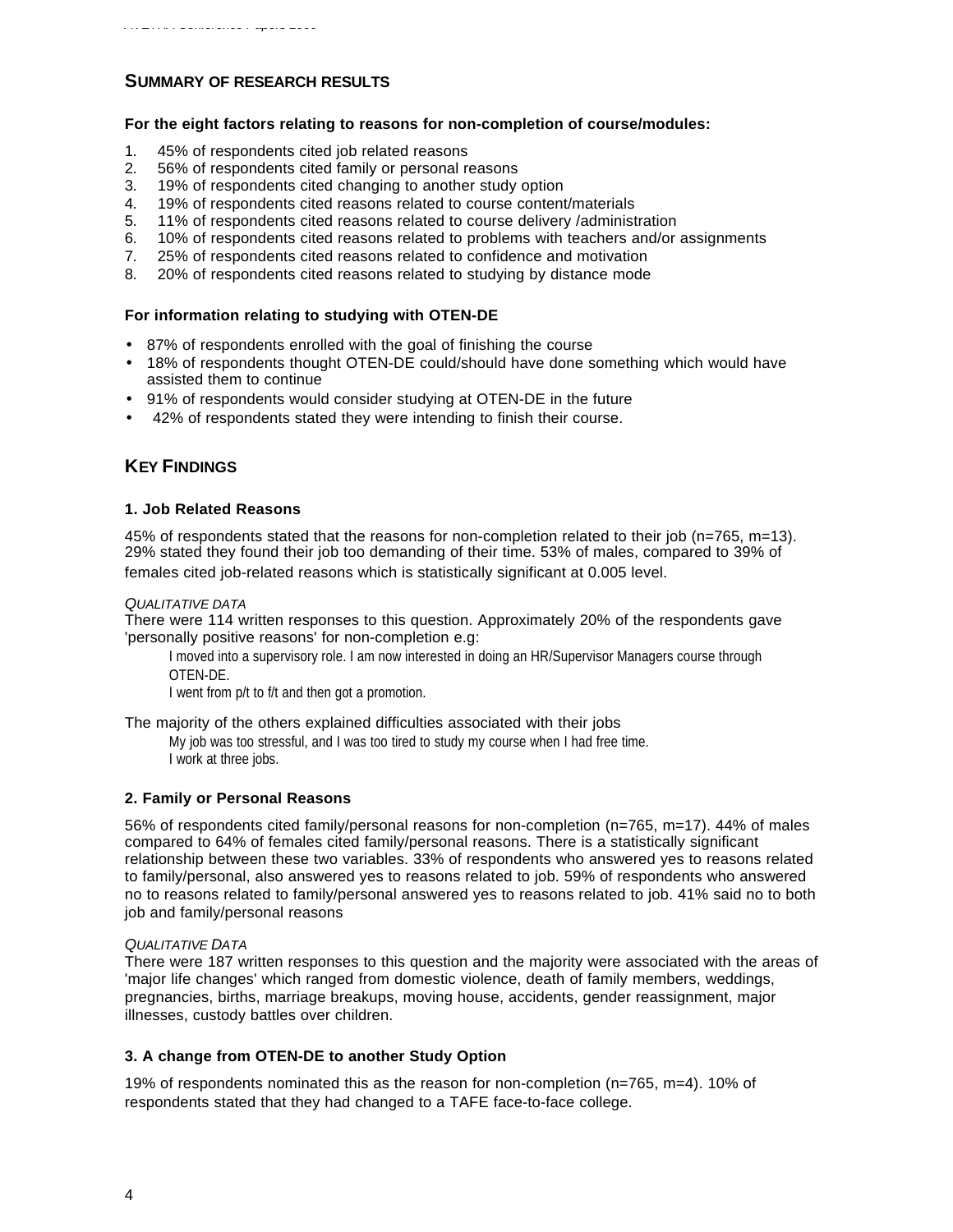# **SUMMARY OF RESEARCH RESULTS**

#### **For the eight factors relating to reasons for non-completion of course/modules:**

- 1. 45% of respondents cited job related reasons
- 2. 56% of respondents cited family or personal reasons
- 3. 19% of respondents cited changing to another study option
- 4. 19% of respondents cited reasons related to course content/materials
- 5. 11% of respondents cited reasons related to course delivery /administration
- 6. 10% of respondents cited reasons related to problems with teachers and/or assignments
- 7. 25% of respondents cited reasons related to confidence and motivation
- 8. 20% of respondents cited reasons related to studying by distance mode

#### **For information relating to studying with OTEN-DE**

- 87% of respondents enrolled with the goal of finishing the course
- 18% of respondents thought OTEN-DE could/should have done something which would have assisted them to continue
- 91% of respondents would consider studying at OTEN-DE in the future
- 42% of respondents stated they were intending to finish their course.

# **KEY FINDINGS**

#### **1. Job Related Reasons**

45% of respondents stated that the reasons for non-completion related to their job (n=765, m=13). 29% stated they found their job too demanding of their time. 53% of males, compared to 39% of females cited job-related reasons which is statistically significant at 0.005 level.

#### *QUALITATIVE DATA*

There were 114 written responses to this question. Approximately 20% of the respondents gave 'personally positive reasons' for non-completion e.g:

I moved into a supervisory role. I am now interested in doing an HR/Supervisor Managers course through OTEN-DE.

I went from p/t to f/t and then got a promotion.

#### The majority of the others explained difficulties associated with their jobs

My job was too stressful, and I was too tired to study my course when I had free time. I work at three jobs.

#### **2. Family or Personal Reasons**

56% of respondents cited family/personal reasons for non-completion (n=765, m=17). 44% of males compared to 64% of females cited family/personal reasons. There is a statistically significant relationship between these two variables. 33% of respondents who answered yes to reasons related to family/personal, also answered yes to reasons related to job. 59% of respondents who answered no to reasons related to family/personal answered yes to reasons related to job. 41% said no to both job and family/personal reasons

#### *QUALITATIVE DATA*

There were 187 written responses to this question and the majority were associated with the areas of 'major life changes' which ranged from domestic violence, death of family members, weddings, pregnancies, births, marriage breakups, moving house, accidents, gender reassignment, major illnesses, custody battles over children.

#### **3. A change from OTEN-DE to another Study Option**

19% of respondents nominated this as the reason for non-completion (n=765, m=4). 10% of respondents stated that they had changed to a TAFE face-to-face college.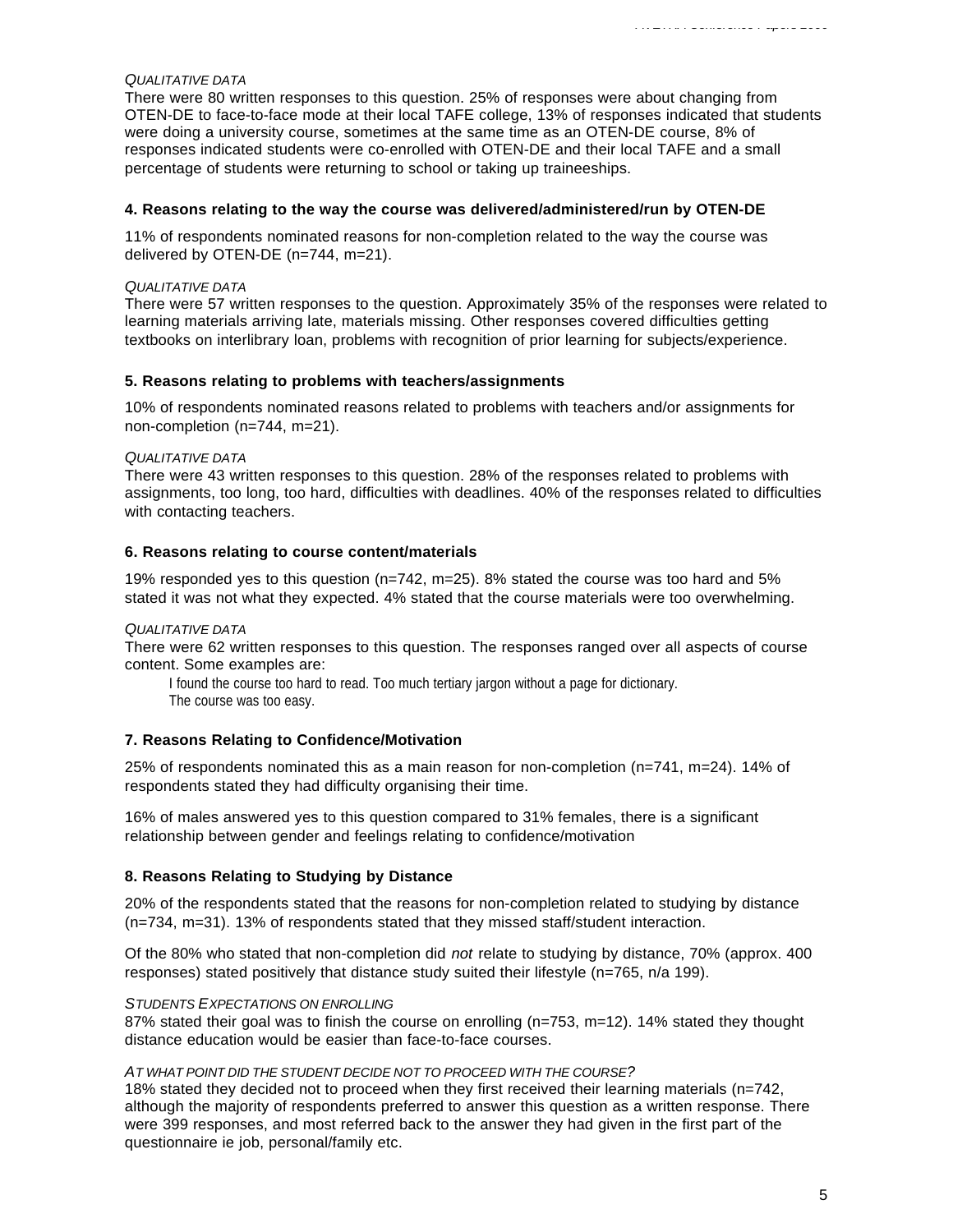#### *QUALITATIVE DATA*

There were 80 written responses to this question. 25% of responses were about changing from OTEN-DE to face-to-face mode at their local TAFE college, 13% of responses indicated that students were doing a university course, sometimes at the same time as an OTEN-DE course, 8% of responses indicated students were co-enrolled with OTEN-DE and their local TAFE and a small percentage of students were returning to school or taking up traineeships.

#### **4. Reasons relating to the way the course was delivered/administered/run by OTEN-DE**

11% of respondents nominated reasons for non-completion related to the way the course was delivered by OTEN-DE (n=744, m=21).

#### *QUALITATIVE DATA*

There were 57 written responses to the question. Approximately 35% of the responses were related to learning materials arriving late, materials missing. Other responses covered difficulties getting textbooks on interlibrary loan, problems with recognition of prior learning for subjects/experience.

#### **5. Reasons relating to problems with teachers/assignments**

10% of respondents nominated reasons related to problems with teachers and/or assignments for non-completion (n=744, m=21).

#### *QUALITATIVE DATA*

There were 43 written responses to this question. 28% of the responses related to problems with assignments, too long, too hard, difficulties with deadlines. 40% of the responses related to difficulties with contacting teachers.

#### **6. Reasons relating to course content/materials**

19% responded yes to this question (n=742, m=25). 8% stated the course was too hard and 5% stated it was not what they expected. 4% stated that the course materials were too overwhelming.

#### *QUALITATIVE DATA*

There were 62 written responses to this question. The responses ranged over all aspects of course content. Some examples are:

I found the course too hard to read. Too much tertiary jargon without a page for dictionary. The course was too easy.

#### **7. Reasons Relating to Confidence/Motivation**

25% of respondents nominated this as a main reason for non-completion (n=741, m=24). 14% of respondents stated they had difficulty organising their time.

16% of males answered yes to this question compared to 31% females, there is a significant relationship between gender and feelings relating to confidence/motivation

#### **8. Reasons Relating to Studying by Distance**

20% of the respondents stated that the reasons for non-completion related to studying by distance (n=734, m=31). 13% of respondents stated that they missed staff/student interaction.

Of the 80% who stated that non-completion did *not* relate to studying by distance, 70% (approx. 400 responses) stated positively that distance study suited their lifestyle (n=765, n/a 199).

#### *STUDENTS EXPECTATIONS ON ENROLLING*

87% stated their goal was to finish the course on enrolling (n=753, m=12). 14% stated they thought distance education would be easier than face-to-face courses.

#### *AT WHAT POINT DID THE STUDENT DECIDE NOT TO PROCEED WITH THE COURSE?*

18% stated they decided not to proceed when they first received their learning materials (n=742, although the majority of respondents preferred to answer this question as a written response. There were 399 responses, and most referred back to the answer they had given in the first part of the questionnaire ie job, personal/family etc.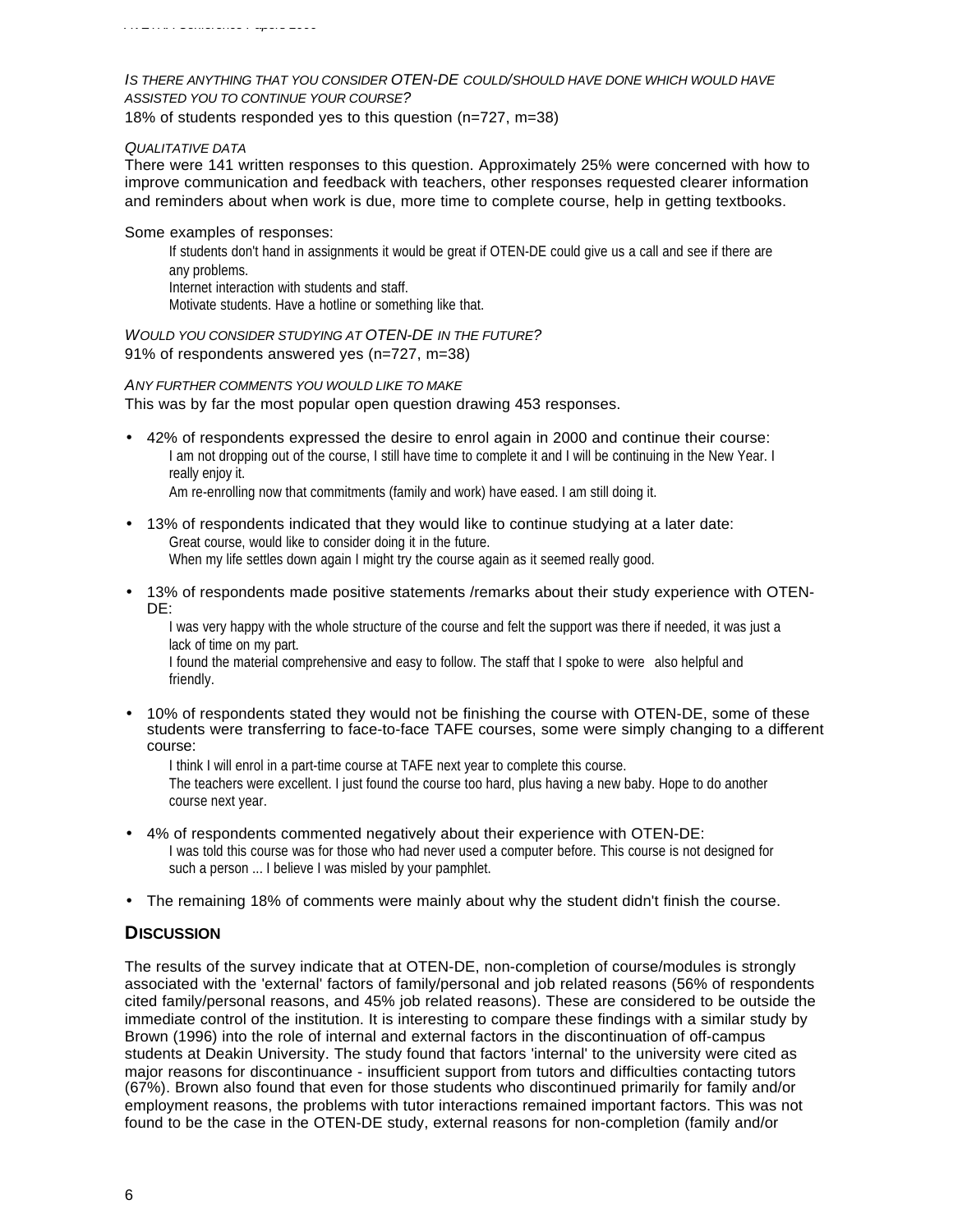#### *IS THERE ANYTHING THAT YOU CONSIDER OTEN-DE COULD/SHOULD HAVE DONE WHICH WOULD HAVE ASSISTED YOU TO CONTINUE YOUR COURSE?*

18% of students responded yes to this question (n=727, m=38)

#### *QUALITATIVE DATA*

There were 141 written responses to this question. Approximately 25% were concerned with how to improve communication and feedback with teachers, other responses requested clearer information and reminders about when work is due, more time to complete course, help in getting textbooks.

#### Some examples of responses:

If students don't hand in assignments it would be great if OTEN-DE could give us a call and see if there are any problems. Internet interaction with students and staff.

Motivate students. Have a hotline or something like that.

#### *WOULD YOU CONSIDER STUDYING AT OTEN-DE IN THE FUTURE?* 91% of respondents answered yes (n=727, m=38)

# *ANY FURTHER COMMENTS YOU WOULD LIKE TO MAKE*

This was by far the most popular open question drawing 453 responses.

• 42% of respondents expressed the desire to enrol again in 2000 and continue their course: I am not dropping out of the course, I still have time to complete it and I will be continuing in the New Year. I really enjoy it.

Am re-enrolling now that commitments (family and work) have eased. I am still doing it.

- 13% of respondents indicated that they would like to continue studying at a later date: Great course, would like to consider doing it in the future. When my life settles down again I might try the course again as it seemed really good.
- 13% of respondents made positive statements /remarks about their study experience with OTEN-DE:

I was very happy with the whole structure of the course and felt the support was there if needed, it was just a lack of time on my part.

I found the material comprehensive and easy to follow. The staff that I spoke to were also helpful and friendly.

• 10% of respondents stated they would not be finishing the course with OTEN-DE, some of these students were transferring to face-to-face TAFE courses, some were simply changing to a different course:

I think I will enrol in a part-time course at TAFE next year to complete this course. The teachers were excellent. I just found the course too hard, plus having a new baby. Hope to do another course next year.

- 4% of respondents commented negatively about their experience with OTEN-DE: I was told this course was for those who had never used a computer before. This course is not designed for such a person ... I believe I was misled by your pamphlet.
- The remaining 18% of comments were mainly about why the student didn't finish the course.

# **DISCUSSION**

The results of the survey indicate that at OTEN-DE, non-completion of course/modules is strongly associated with the 'external' factors of family/personal and job related reasons (56% of respondents cited family/personal reasons, and 45% job related reasons). These are considered to be outside the immediate control of the institution. It is interesting to compare these findings with a similar study by Brown (1996) into the role of internal and external factors in the discontinuation of off-campus students at Deakin University. The study found that factors 'internal' to the university were cited as major reasons for discontinuance - insufficient support from tutors and difficulties contacting tutors (67%). Brown also found that even for those students who discontinued primarily for family and/or employment reasons, the problems with tutor interactions remained important factors. This was not found to be the case in the OTEN-DE study, external reasons for non-completion (family and/or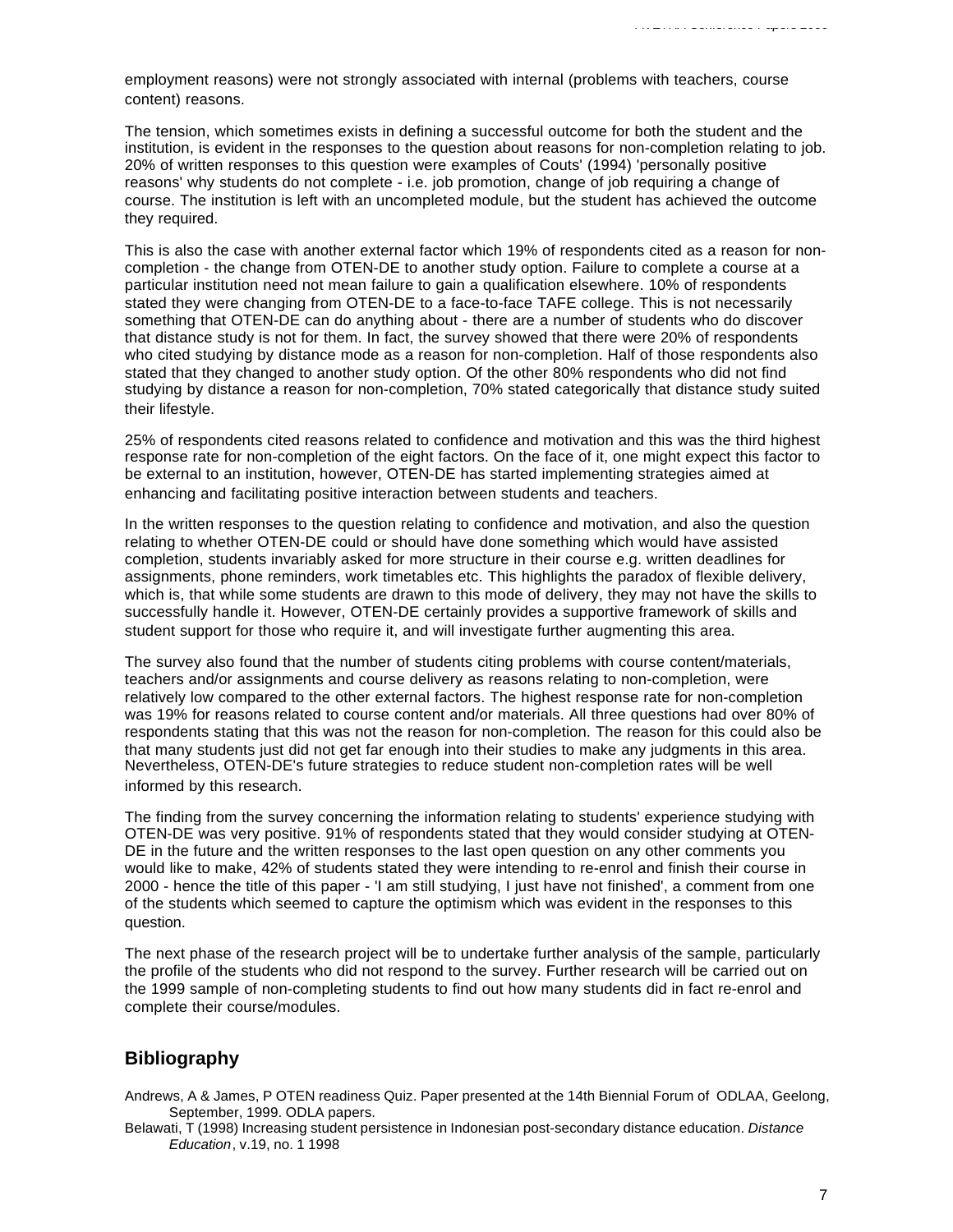employment reasons) were not strongly associated with internal (problems with teachers, course content) reasons.

The tension, which sometimes exists in defining a successful outcome for both the student and the institution, is evident in the responses to the question about reasons for non-completion relating to job. 20% of written responses to this question were examples of Couts' (1994) 'personally positive reasons' why students do not complete - i.e. job promotion, change of job requiring a change of course. The institution is left with an uncompleted module, but the student has achieved the outcome they required.

This is also the case with another external factor which 19% of respondents cited as a reason for noncompletion - the change from OTEN-DE to another study option. Failure to complete a course at a particular institution need not mean failure to gain a qualification elsewhere. 10% of respondents stated they were changing from OTEN-DE to a face-to-face TAFE college. This is not necessarily something that OTEN-DE can do anything about - there are a number of students who do discover that distance study is not for them. In fact, the survey showed that there were 20% of respondents who cited studying by distance mode as a reason for non-completion. Half of those respondents also stated that they changed to another study option. Of the other 80% respondents who did not find studying by distance a reason for non-completion, 70% stated categorically that distance study suited their lifestyle.

25% of respondents cited reasons related to confidence and motivation and this was the third highest response rate for non-completion of the eight factors. On the face of it, one might expect this factor to be external to an institution, however, OTEN-DE has started implementing strategies aimed at enhancing and facilitating positive interaction between students and teachers.

In the written responses to the question relating to confidence and motivation, and also the question relating to whether OTEN-DE could or should have done something which would have assisted completion, students invariably asked for more structure in their course e.g. written deadlines for assignments, phone reminders, work timetables etc. This highlights the paradox of flexible delivery, which is, that while some students are drawn to this mode of delivery, they may not have the skills to successfully handle it. However, OTEN-DE certainly provides a supportive framework of skills and student support for those who require it, and will investigate further augmenting this area.

The survey also found that the number of students citing problems with course content/materials, teachers and/or assignments and course delivery as reasons relating to non-completion, were relatively low compared to the other external factors. The highest response rate for non-completion was 19% for reasons related to course content and/or materials. All three questions had over 80% of respondents stating that this was not the reason for non-completion. The reason for this could also be that many students just did not get far enough into their studies to make any judgments in this area. Nevertheless, OTEN-DE's future strategies to reduce student non-completion rates will be well informed by this research.

The finding from the survey concerning the information relating to students' experience studying with OTEN-DE was very positive. 91% of respondents stated that they would consider studying at OTEN-DE in the future and the written responses to the last open question on any other comments you would like to make, 42% of students stated they were intending to re-enrol and finish their course in 2000 - hence the title of this paper - 'I am still studying, I just have not finished', a comment from one of the students which seemed to capture the optimism which was evident in the responses to this question.

The next phase of the research project will be to undertake further analysis of the sample, particularly the profile of the students who did not respond to the survey. Further research will be carried out on the 1999 sample of non-completing students to find out how many students did in fact re-enrol and complete their course/modules.

# **Bibliography**

Andrews, A & James, P OTEN readiness Quiz. Paper presented at the 14th Biennial Forum of ODLAA, Geelong, September, 1999. ODLA papers.

Belawati, T (1998) Increasing student persistence in Indonesian post-secondary distance education. *Distance Education*, v.19, no. 1 1998